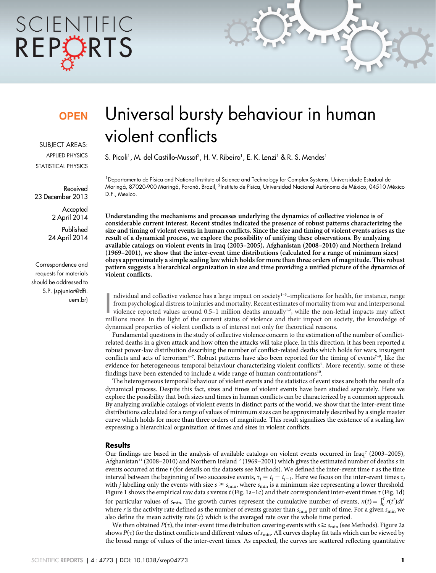# SCIENTIFIC REPORTS

### **OPEN**

SUBJECT AREAS: APPLIED PHYSICS STATISTICAL PHYSICS

Received 23 December 2013

> **Accepted** 2 April 2014

Published 24 April 2014

Correspondence and requests for materials should be addressed to S.P. (spjunior@dfi. uem.br)

## Universal bursty behaviour in human violent conflicts

S. Picoli<sup>1</sup>, M. del Castillo-Mussot<sup>2</sup>, H. V. Ribeiro<sup>1</sup>, E. K. Lenzi<sup>1</sup> & R. S. Mendes<sup>1</sup>

<sup>1</sup> Departamento de Física and National Institute of Science and Technology for Complex Systems, Universidade Estadual de Maringá, 87020-900 Maringá, Paraná, Brazil, <sup>2</sup>Instituto de Física, Universidad Nacional Autónoma de México, 04510 México D.F., Mexico.

Understanding the mechanisms and processes underlying the dynamics of collective violence is of considerable current interest. Recent studies indicated the presence of robust patterns characterizing the size and timing of violent events in human conflicts. Since the size and timing of violent events arises as the result of a dynamical process, we explore the possibility of unifying these observations. By analyzing available catalogs on violent events in Iraq (2003–2005), Afghanistan (2008–2010) and Northern Ireland (1969–2001), we show that the inter-event time distributions (calculated for a range of minimum sizes) obeys approximately a simple scaling law which holds for more than three orders of magnitude. This robust pattern suggests a hierarchical organization in size and time providing a unified picture of the dynamics of violent conflicts.

Individual and collective violence has a large impact on society<sup>1-3</sup>-implications for health, for instance, range from psychological distress to injuries and mortality. Recent estimates of mortality from war and interpers ndividual and collective violence has a large impact on society<sup> $1-3$ </sup>–implications for health, for instance, range from psychological distress to injuries and mortality. Recent estimates of mortality from war and interpersonal violence reported values around  $0.5-1$  million deaths annually<sup>1,2</sup>, while the non-lethal impacts may affect dynamical properties of violent conflicts is of interest not only for theoretical reasons.

Fundamental questions in the study of collective violence concern to the estimation of the number of conflictrelated deaths in a given attack and how often the attacks will take place. In this direction, it has been reported a robust power-law distribution describing the number of conflict-related deaths which holds for wars, insurgent conflicts and acts of terrorism<sup>4-7</sup>. Robust patterns have also been reported for the timing of events<sup>7-9</sup>, like the evidence for heterogeneous temporal behaviour characterizing violent conflicts<sup>7</sup>. More recently, some of these findings have been extended to include a wide range of human confrontations<sup>10</sup>.

The heterogeneous temporal behaviour of violent events and the statistics of event sizes are both the result of a dynamical process. Despite this fact, sizes and times of violent events have been studied separately. Here we explore the possibility that both sizes and times in human conflicts can be characterized by a common approach. By analyzing available catalogs of violent events in distinct parts of the world, we show that the inter-event time distributions calculated for a range of values of minimum sizes can be approximately described by a single master curve which holds for more than three orders of magnitude. This result signalizes the existence of a scaling law expressing a hierarchical organization of times and sizes in violent conflicts.

#### **Results**

Our findings are based in the analysis of available catalogs on violent events occurred in Iraq7 (2003–2005), Afghanistan<sup>11</sup> (2008–2010) and Northern Ireland<sup>12</sup> (1969–2001) which gives the estimated number of deaths s in events occurred at time t (for details on the datasets see Methods). We defined the inter-event time  $\tau$  as the time interval between the beginning of two successive events,  $\tau_j = t_j - t_{j-1}$ . Here we focus on the inter-event times  $\tau_j$ with *j* labelling only the events with size  $s \ge s_{\min}$ , where  $s_{\min}$  is a minimum size representing a lower threshold. Figure 1 shows the empirical raw data s versus  $t$  (Fig. 1a-1c) and their correspondent inter-event times  $\tau$  (Fig. 1d) for particular values of  $s_{\min}$ . The growth curves represent the cumulative number of events,  $n(t) = \int_0^t r(t')dt'$ where r is the activity rate defined as the number of events greater than  $s_{\min}$  per unit of time. For a given  $s_{\min}$  we also define the mean activity rate  $\langle r \rangle$  which is the averaged rate over the whole time period.

We then obtained  $P(\tau)$ , the inter-event time distribution covering events with  $s \geq s_{\min}$  (see Methods). Figure 2a shows  $P(\tau)$  for the distinct conflicts and different values of  $s_{\min}$ . All curves display fat tails which can be viewed by the broad range of values of the inter-event times. As expected, the curves are scattered reflecting quantitative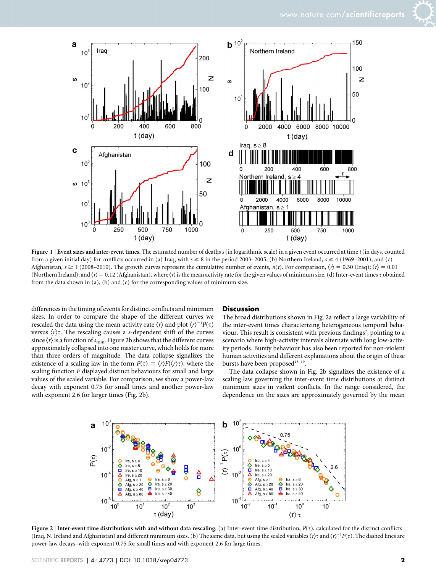

Figure 1 | Event sizes and inter-event times. The estimated number of deaths  $s$  (in logarithmic scale) in a given event occurred at time  $t$  (in days, counted from a given initial day) for conflicts occurred in (a) Iraq, with  $s \ge 8$  in the period 2003–2005; (b) Northern Ireland,  $s \ge 4$  (1969–2001); and (c) Afghanistan,  $s \ge 1$  (2008–2010). The growth curves represent the cumulative number of events,  $n(t)$ . For comparison,  $\langle r \rangle = 0.30$  (Iraq);  $\langle r \rangle = 0.01$ (Northern Ireland); and  $\langle r \rangle = 0.12$  (Afghanistan), where  $\langle r \rangle$  is the mean activity rate for the given values of minimum size. (d) Inter-event times t obtained from the data shown in (a), (b) and (c) for the corresponding values of minimum size.

differences in the timing of events for distinct conflicts and minimum sizes. In order to compare the shape of the different curves we rescaled the data using the mean activity rate  $\langle r \rangle$  and plot  $\langle r \rangle^{-1} P(\tau)$ versus  $\langle r \rangle \tau$ . The rescaling causes a s-dependent shift of the curves since  $\langle r \rangle$  is a function of  $s_{\text{min}}$ . Figure 2b shows that the different curves approximately collapsed into one master curve, which holds for more than three orders of magnitude. The data collapse signalizes the existence of a scaling law in the form  $P(\tau) = \langle r \rangle F(\langle r \rangle \tau)$ , where the scaling function F displayed distinct behaviours for small and large values of the scaled variable. For comparison, we show a power-law decay with exponent 0.75 for small times and another power-law with exponent 2.6 for larger times (Fig. 2b).

#### **Discussion**

The broad distributions shown in Fig. 2a reflect a large variability of the inter-event times characterizing heterogeneous temporal behaviour. This result is consistent with previous findings<sup>7</sup>, pointing to a scenario where high-activity intervals alternate with long low-activity periods. Bursty behaviour has also been reported for non-violent human activities and different explanations about the origin of these bursts have been proposed<sup>13-19</sup>.

The data collapse shown in Fig. 2b signalizes the existence of a scaling law governing the inter-event time distributions at distinct minimum sizes in violent conflicts. In the range considered, the dependence on the sizes are approximately governed by the mean



Figure 2 | Inter-event time distributions with and without data rescaling. (a) Inter-event time distribution,  $P(\tau)$ , calculated for the distinct conflicts (Iraq, N. Ireland and Afghanistan) and different minimum sizes. (b) The same data, but using the scaled variables  $\langle r \rangle \tau$  and  $\langle r \rangle^{-1} P(\tau)$ . The dashed lines are power-law decays–with exponent 0.75 for small times and with exponent 2.6 for large times.